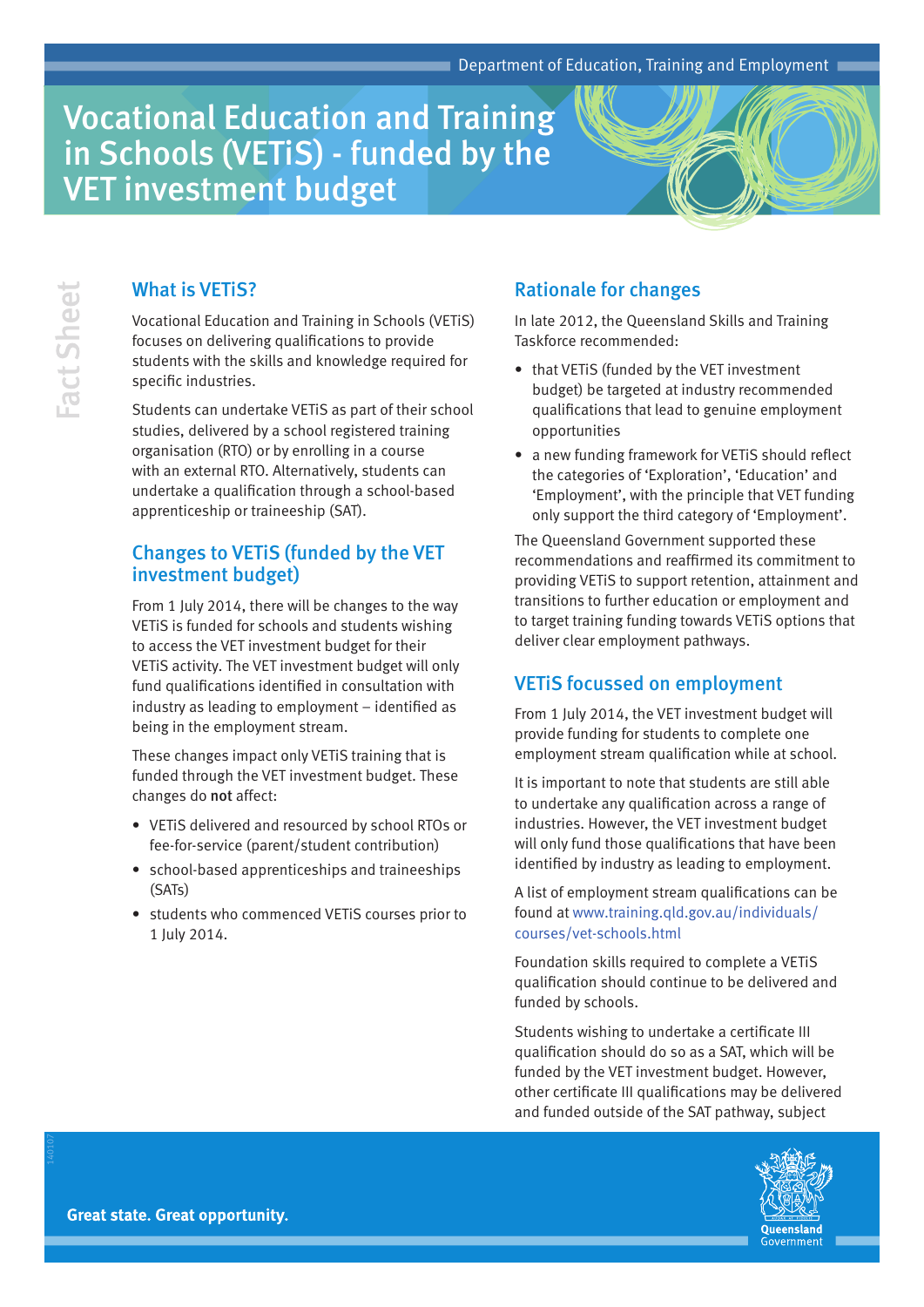# Vocational Education and Training in Schools (VETiS) - funded by the VET investment budget

## What is VETiS?

Vocational Education and Training in Schools (VETiS) focuses on delivering qualifications to provide students with the skills and knowledge required for specific industries.

Students can undertake VETiS as part of their school studies, delivered by a school registered training organisation (RTO) or by enrolling in a course with an external RTO. Alternatively, students can undertake a qualification through a school-based apprenticeship or traineeship (SAT).

## Changes to VETiS (funded by the VET investment budget)

From 1 July 2014, there will be changes to the way VETiS is funded for schools and students wishing to access the VET investment budget for their VETiS activity. The VET investment budget will only fund qualifications identified in consultation with industry as leading to employment – identified as being in the employment stream.

These changes impact only VETiS training that is funded through the VET investment budget. These changes do not affect:

- VETIS delivered and resourced by school RTOs or fee-for-service (parent/student contribution)
- school-based apprenticeships and traineeships (SATs)
- students who commenced VETIS courses prior to 1 July 2014.

# Rationale for changes

In late 2012, the Queensland Skills and Training Taskforce recommended:

- that VETIS (funded by the VET investment budget) be targeted at industry recommended qualifications that lead to genuine employment opportunities
- a new funding framework for VETIS should reflect the categories of 'Exploration', 'Education' and 'Employment', with the principle that VET funding only support the third category of 'Employment'.

The Queensland Government supported these recommendations and reaffirmed its commitment to providing VETiS to support retention, attainment and transitions to further education or employment and to target training funding towards VETiS options that deliver clear employment pathways.

## VETiS focussed on employment

From 1 July 2014, the VET investment budget will provide funding for students to complete one employment stream qualification while at school.

It is important to note that students are still able to undertake any qualification across a range of industries. However, the VET investment budget will only fund those qualifications that have been identified by industry as leading to employment.

A list of employment stream qualifications can be found at [www.training.qld.gov.au/individuals/](http://www.training.qld.gov.au/individuals/courses/vet-schools.html) [courses/vet-schools.html](http://www.training.qld.gov.au/individuals/courses/vet-schools.html)

Foundation skills required to complete a VETiS qualification should continue to be delivered and funded by schools.

Students wishing to undertake a certificate III qualification should do so as a SAT, which will be funded by the VET investment budget. However, other certificate III qualifications may be delivered and funded outside of the SAT pathway, subject



**Great state. Great opportunity.** 

140107